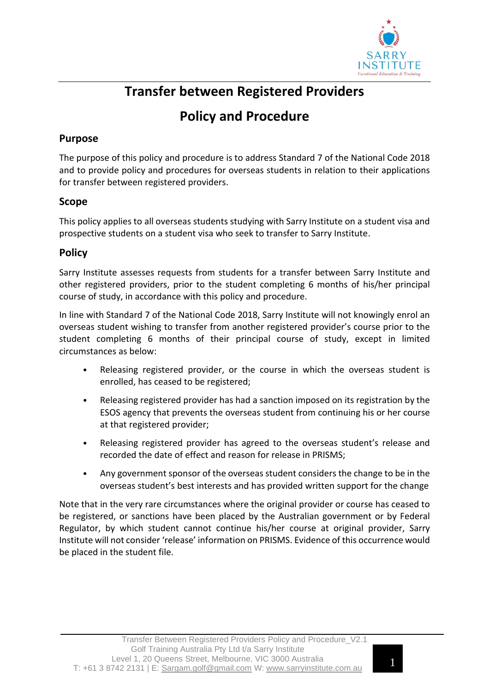

# **Transfer between Registered Providers**

## **Policy and Procedure**

## **Purpose**

The purpose of this policy and procedure is to address Standard 7 of the National Code 2018 and to provide policy and procedures for overseas students in relation to their applications for transfer between registered providers.

#### **Scope**

This policy applies to all overseas students studying with Sarry Institute on a student visa and prospective students on a student visa who seek to transfer to Sarry Institute.

## **Policy**

Sarry Institute assesses requests from students for a transfer between Sarry Institute and other registered providers, prior to the student completing 6 months of his/her principal course of study, in accordance with this policy and procedure.

In line with Standard 7 of the National Code 2018, Sarry Institute will not knowingly enrol an overseas student wishing to transfer from another registered provider's course prior to the student completing 6 months of their principal course of study, except in limited circumstances as below:

- Releasing registered provider, or the course in which the overseas student is enrolled, has ceased to be registered;
- Releasing registered provider has had a sanction imposed on its registration by the ESOS agency that prevents the overseas student from continuing his or her course at that registered provider;
- Releasing registered provider has agreed to the overseas student's release and recorded the date of effect and reason for release in PRISMS;
- Any government sponsor of the overseas student considers the change to be in the overseas student's best interests and has provided written support for the change

Note that in the very rare circumstances where the original provider or course has ceased to be registered, or sanctions have been placed by the Australian government or by Federal Regulator, by which student cannot continue his/her course at original provider, Sarry Institute will not consider 'release' information on PRISMS. Evidence of this occurrence would be placed in the student file.

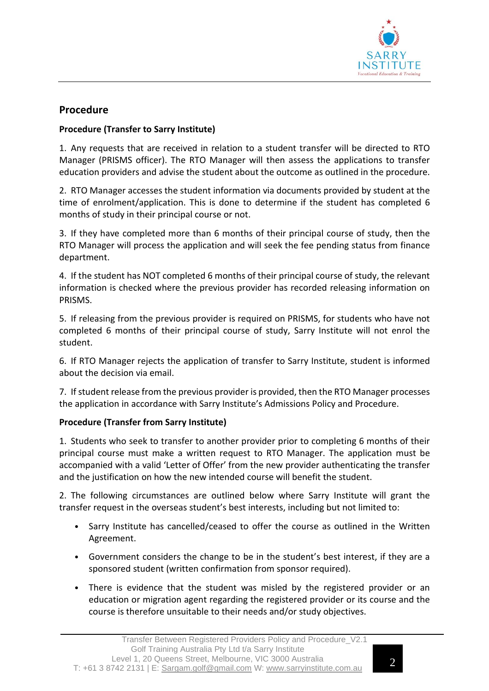

#### **Procedure**

#### **Procedure (Transfer to Sarry Institute)**

1. Any requests that are received in relation to a student transfer will be directed to RTO Manager (PRISMS officer). The RTO Manager will then assess the applications to transfer education providers and advise the student about the outcome as outlined in the procedure.

2. RTO Manager accesses the student information via documents provided by student at the time of enrolment/application. This is done to determine if the student has completed 6 months of study in their principal course or not.

3. If they have completed more than 6 months of their principal course of study, then the RTO Manager will process the application and will seek the fee pending status from finance department.

4. If the student has NOT completed 6 months of their principal course of study, the relevant information is checked where the previous provider has recorded releasing information on PRISMS.

5. If releasing from the previous provider is required on PRISMS, for students who have not completed 6 months of their principal course of study, Sarry Institute will not enrol the student.

6. If RTO Manager rejects the application of transfer to Sarry Institute, student is informed about the decision via email.

7. Ifstudent release from the previous provider is provided, then the RTO Manager processes the application in accordance with Sarry Institute's Admissions Policy and Procedure.

#### **Procedure (Transfer from Sarry Institute)**

1. Students who seek to transfer to another provider prior to completing 6 months of their principal course must make a written request to RTO Manager. The application must be accompanied with a valid 'Letter of Offer' from the new provider authenticating the transfer and the justification on how the new intended course will benefit the student.

2. The following circumstances are outlined below where Sarry Institute will grant the transfer request in the overseas student's best interests, including but not limited to:

- Sarry Institute has cancelled/ceased to offer the course as outlined in the Written Agreement.
- Government considers the change to be in the student's best interest, if they are a sponsored student (written confirmation from sponsor required).
- There is evidence that the student was misled by the registered provider or an education or migration agent regarding the registered provider or its course and the course is therefore unsuitable to their needs and/or study objectives.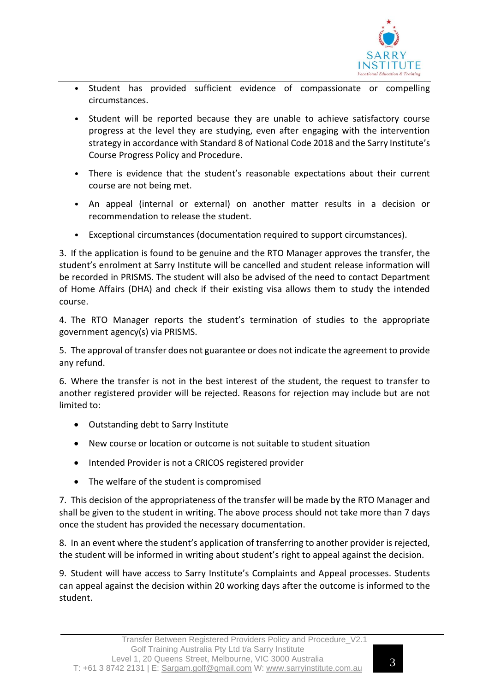

- Student has provided sufficient evidence of compassionate or compelling circumstances.
- Student will be reported because they are unable to achieve satisfactory course progress at the level they are studying, even after engaging with the intervention strategy in accordance with Standard 8 of National Code 2018 and the Sarry Institute's Course Progress Policy and Procedure.
- There is evidence that the student's reasonable expectations about their current course are not being met.
- An appeal (internal or external) on another matter results in a decision or recommendation to release the student.
- Exceptional circumstances (documentation required to support circumstances).

3. If the application is found to be genuine and the RTO Manager approves the transfer, the student's enrolment at Sarry Institute will be cancelled and student release information will be recorded in PRISMS. The student will also be advised of the need to contact Department of Home Affairs (DHA) and check if their existing visa allows them to study the intended course.

4. The RTO Manager reports the student's termination of studies to the appropriate government agency(s) via PRISMS.

5. The approval of transfer does not guarantee or does not indicate the agreement to provide any refund.

6. Where the transfer is not in the best interest of the student, the request to transfer to another registered provider will be rejected. Reasons for rejection may include but are not limited to:

- Outstanding debt to Sarry Institute
- New course or location or outcome is not suitable to student situation
- Intended Provider is not a CRICOS registered provider
- The welfare of the student is compromised

7. This decision of the appropriateness of the transfer will be made by the RTO Manager and shall be given to the student in writing. The above process should not take more than 7 days once the student has provided the necessary documentation.

8. In an event where the student's application of transferring to another provider is rejected, the student will be informed in writing about student's right to appeal against the decision.

9. Student will have access to Sarry Institute's Complaints and Appeal processes. Students can appeal against the decision within 20 working days after the outcome is informed to the student.